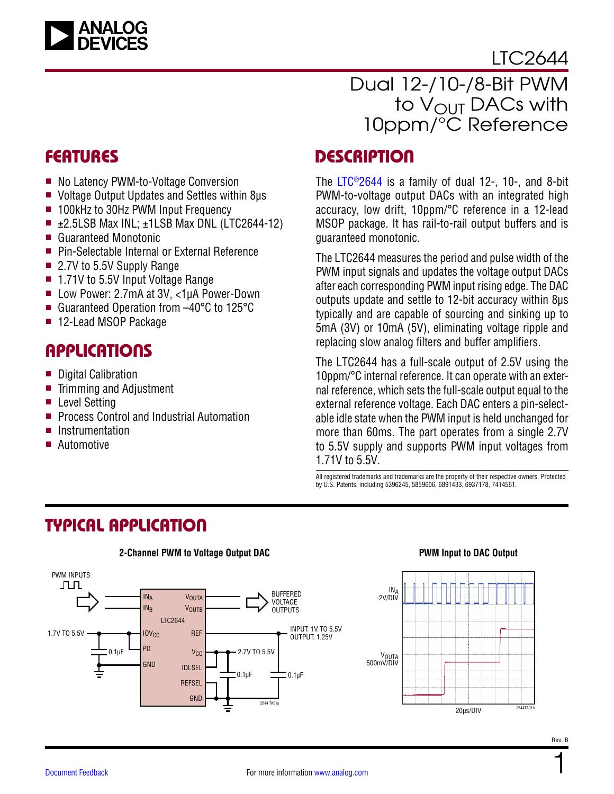

[LTC2644](https://www.analog.com/LTC2644?doc=LTC2644.pdf)

### Dual 12-/10-/8-Bit PWM to V<sub>OUT</sub> DACs with 10ppm/°C Reference

- No Latency PWM-to-Voltage Conversion
- Voltage Output Updates and Settles within 8us
- 100kHz to 30Hz PWM Input Frequency
- $\blacksquare$  ±2.5LSB Max INL; ±1LSB Max DNL (LTC2644-12)
- Guaranteed Monotonic
- Pin-Selectable Internal or External Reference
- $\blacksquare$  2.7V to 5.5V Supply Range
- 1.71V to 5.5V Input Voltage Range
- Low Power: 2.7mA at 3V, <1µA Power-Down
- Guaranteed Operation from –40°C to 125°C
- 12-Lead MSOP Package

### **APPLICATIONS**

- Digital Calibration
- $\blacksquare$  Trimming and Adjustment
- Level Setting
- **Perocess Control and Industrial Automation**
- **n** Instrumentation
- **n** Automotive

### FEATURES DESCRIPTION

The [LTC®2644](https://www.analog.com/LTC2644?doc=LTC2644.pdf) is a family of dual 12-, 10-, and 8-bit PWM-to-voltage output DACs with an integrated high accuracy, low drift, 10ppm/°C reference in a 12-lead MSOP package. It has rail-to-rail output buffers and is guaranteed monotonic.

The LTC2644 measures the period and pulse width of the PWM input signals and updates the voltage output DACs after each corresponding PWM input rising edge. The DAC outputs update and settle to 12-bit accuracy within 8µs typically and are capable of sourcing and sinking up to 5mA (3V) or 10mA (5V), eliminating voltage ripple and replacing slow analog filters and buffer amplifiers.

The LTC2644 has a full-scale output of 2.5V using the 10ppm/°C internal reference. It can operate with an external reference, which sets the full-scale output equal to the external reference voltage. Each DAC enters a pin-selectable idle state when the PWM input is held unchanged for more than 60ms. The part operates from a single 2.7V to 5.5V supply and supports PWM input voltages from 1.71V to 5.5V.

All registered trademarks and trademarks are the property of their respective owners. Protected by U.S. Patents, including 5396245, 5859606, 6891433, 6937178, 7414561.

### TYPICAL APPLICATION



#### **2-Channel PWM to Voltage Output DAC PWM Input to DAC Output**

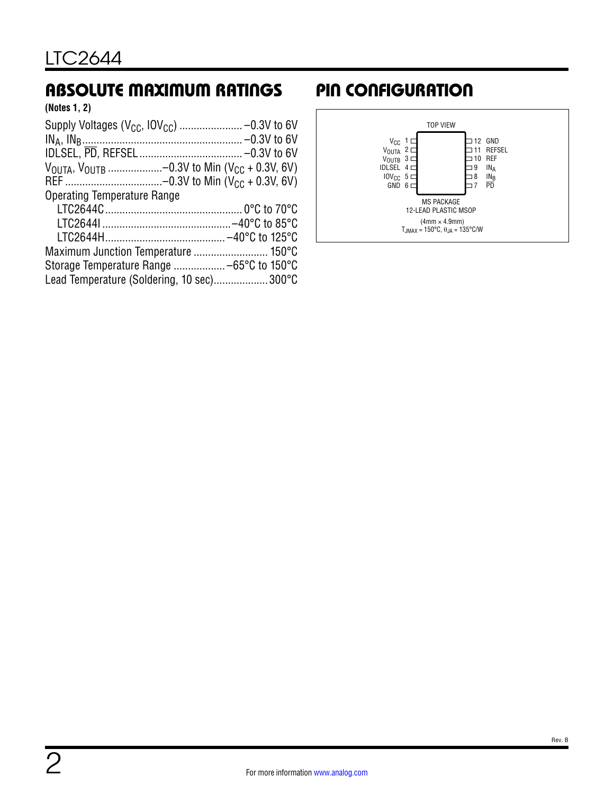### <span id="page-1-0"></span>ABSOLUTE MAXIMUM RATINGS PIN CONFIGURATION

**(Notes 1, 2)**

| $V_{\text{OUTA}}$ , $V_{\text{OUTB}}$ -0.3V to Min ( $V_{\text{CC}}$ + 0.3V, 6V) |  |
|----------------------------------------------------------------------------------|--|
|                                                                                  |  |
| <b>Operating Temperature Range</b>                                               |  |
|                                                                                  |  |
|                                                                                  |  |
|                                                                                  |  |
| Maximum Junction Temperature  150°C                                              |  |
|                                                                                  |  |
| Lead Temperature (Soldering, 10 sec)300°C                                        |  |

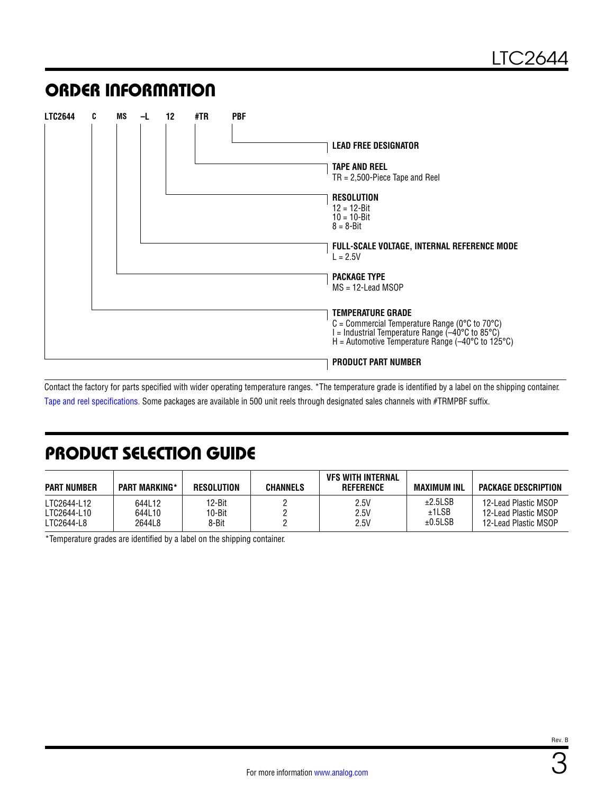### ORDER INFORMATION

| <b>LTC2644</b> | C | MS | <u>-1</u> | 12 | #TR | <b>PBF</b> |                                                                                                                                                                                         |
|----------------|---|----|-----------|----|-----|------------|-----------------------------------------------------------------------------------------------------------------------------------------------------------------------------------------|
|                |   |    |           |    |     |            | <b>LEAD FREE DESIGNATOR</b>                                                                                                                                                             |
|                |   |    |           |    |     |            | TAPE AND REEL<br>$TR = 2,500$ -Piece Tape and Reel                                                                                                                                      |
|                |   |    |           |    |     |            | <b>RESOLUTION</b><br>$12 = 12 - Bit$<br>$10 = 10 - Bit$<br>$8 = 8 - Bit$                                                                                                                |
|                |   |    |           |    |     |            | FULL-SCALE VOLTAGE, INTERNAL REFERENCE MODE<br>$L = 2.5V$                                                                                                                               |
|                |   |    |           |    |     |            | <b>PACKAGE TYPE</b><br>$MS = 12$ -Lead MSOP                                                                                                                                             |
|                |   |    |           |    |     |            | <b>TEMPERATURE GRADE</b><br>C = Commercial Temperature Range (0°C to 70°C)<br>$I =$ Industrial Temperature Range (-40°C to 85°C)<br>$H =$ Automotive Temperature Range (-40°C to 125°C) |
|                |   |    |           |    |     |            | <b>PRODUCT PART NUMBER</b>                                                                                                                                                              |

Contact the factory for parts specified with wider operating temperature ranges. \*The temperature grade is identified by a label on the shipping container. [Tape and reel specifications.](https://www.analog.com/media/en/package-pcb-resources/package/tape-reel-rev-n.pdf?doc=LTC2644.pdf) Some packages are available in 500 unit reels through designated sales channels with #TRMPBF suffix.

### PRODUCT SELECTION GUIDE

| <b>PART NUMBER</b> | <b>PART MARKING*</b> | RESOLUTION | CHANNELS | VFS WITH INTERNAL<br>REFERENCE | MAXIMUM INL | <b>PACKAGE DESCRIPTION</b> |
|--------------------|----------------------|------------|----------|--------------------------------|-------------|----------------------------|
| LTC2644-L12        | 644L12               | 12-Bit     |          | 2.5V                           | ±2.5LSB     | 12-Lead Plastic MSOP       |
| LTC2644-L10        | 644L10               | 10-Bit     |          | 2.5V                           | ±1LSB       | 12-Lead Plastic MSOP       |
| LTC2644-L8         | 2644L8               | 8-Bit      |          | 2.5V                           | ±0.5LSB     | 12-Lead Plastic MSOP       |

\*Temperature grades are identified by a label on the shipping container.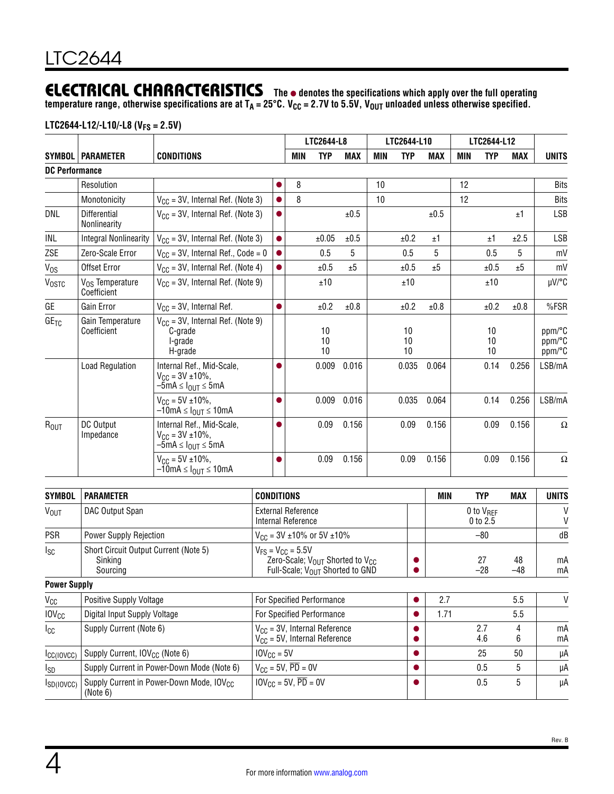### **ELECTRICAL CHARACTERISTICS** The  $\bullet$  denotes the specifications which apply over the full operating

**temperature range, otherwise specifications are at TA = 25°C. VCC = 2.7V to 5.5V, VOUT unloaded unless otherwise specified.**

### **LTC2644-L12/-L10/-L8 (VFS = 2.5V)**

|                       |                                     |                                                                                                      |                   |     | LTC2644-L8     |            |            | LTC2644-L10    |            |            | LTC2644-L12    |            |                            |
|-----------------------|-------------------------------------|------------------------------------------------------------------------------------------------------|-------------------|-----|----------------|------------|------------|----------------|------------|------------|----------------|------------|----------------------------|
|                       | <b>SYMBOL   PARAMETER</b>           | <b>CONDITIONS</b>                                                                                    |                   | MIN | <b>TYP</b>     | <b>MAX</b> | <b>MIN</b> | <b>TYP</b>     | <b>MAX</b> | <b>MIN</b> | <b>TYP</b>     | <b>MAX</b> | <b>UNITS</b>               |
| <b>DC Performance</b> |                                     |                                                                                                      |                   |     |                |            |            |                |            |            |                |            |                            |
|                       | Resolution                          |                                                                                                      | 0                 | 8   |                |            | 10         |                |            | 12         |                |            | <b>Bits</b>                |
|                       | Monotonicity                        | $V_{CC}$ = 3V, Internal Ref. (Note 3)                                                                | Q                 | 8   |                |            | 10         |                |            | 12         |                |            | <b>Bits</b>                |
| DNL                   | <b>Differential</b><br>Nonlinearity | $V_{CC}$ = 3V, Internal Ref. (Note 3)                                                                | $\bullet$         |     |                | ±0.5       |            |                | ±0.5       |            |                | ±1         | <b>LSB</b>                 |
| INL                   | <b>Integral Nonlinearity</b>        | $V_{CC}$ = 3V, Internal Ref. (Note 3)                                                                | $\bullet$         |     | ±0.05          | ±0.5       |            | ±0.2           | ±1         |            | ±1             | ±2.5       | <b>LSB</b>                 |
| ZSE                   | Zero-Scale Error                    | $V_{CC}$ = 3V, Internal Ref., Code = 0                                                               | $\bullet$         |     | 0.5            | 5          |            | 0.5            | 5          |            | 0.5            | 5          | mV                         |
| V <sub>os</sub>       | Offset Error                        | $V_{CC}$ = 3V, Internal Ref. (Note 4)                                                                | $\bullet$         |     | ±0.5           | ±5         |            | ±0.5           | ±5         |            | ±0.5           | ±5         | mV                         |
| <b>VOSTC</b>          | $V_{OS}$ Temperature<br>Coefficient | $V_{CC}$ = 3V, Internal Ref. (Note 9)                                                                |                   |     | ±10            |            |            | ±10            |            |            | ±10            |            | µV/°C                      |
| GE                    | Gain Error                          | $V_{CC}$ = 3V, Internal Ref.                                                                         | $\bullet$         |     | ±0.2           | ±0.8       |            | ±0.2           | ±0.8       |            | ±0.2           | ±0.8       | %FSR                       |
| GE <sub>TC</sub>      | Gain Temperature<br>Coefficient     | $V_{CC}$ = 3V, Internal Ref. (Note 9)<br>C-grade<br>I-grade<br>H-grade                               |                   |     | 10<br>10<br>10 |            |            | 10<br>10<br>10 |            |            | 10<br>10<br>10 |            | ppm/°C<br>ppm/°C<br>ppm/°C |
|                       | <b>Load Regulation</b>              | Internal Ref., Mid-Scale,<br>$V_{CC} = 3V \pm 10\%$ ,<br>$-5mA \leq I_{OUT} \leq 5mA$                |                   |     | 0.009          | 0.016      |            | 0.035          | 0.064      |            | 0.14           | 0.256      | LSB/mA                     |
|                       |                                     | $V_{\text{CC}} = 5V \pm 10\%$ ,<br>$-10$ mA $\leq$ $I_{\text{OUT}} \leq 10$ mA                       |                   |     | 0.009          | 0.016      |            | 0.035          | 0.064      |            | 0.14           | 0.256      | LSB/mA                     |
| ROUT                  | DC Output<br>Impedance              | Internal Ref., Mid-Scale,<br>$V_{\text{CC}} = 3V \pm 10\%$ ,<br>$-5$ mA $\leq$ $I_{OIII}$ $\leq$ 5mA | $\bullet$         |     | 0.09           | 0.156      |            | 0.09           | 0.156      |            | 0.09           | 0.156      | $\Omega$                   |
|                       |                                     | $V_{\text{CC}} = 5V \pm 10\%$ ,<br>$-10$ mA $\leq$ $I_{\text{OUT}}$ $\leq$ 10mA                      | O                 |     | 0.09           | 0.156      |            | 0.09           | 0.156      |            | 0.09           | 0.156      | $\Omega$                   |
| <b>SYMBOL</b>         | <b>PARAMETER</b>                    |                                                                                                      | <b>CONDITIONS</b> |     |                |            |            |                | <b>MIN</b> |            | <b>TYP</b>     | MAX        | <b>UNITS</b>               |
|                       |                                     |                                                                                                      |                   |     |                |            |            |                |            |            |                |            |                            |

| SYMBOL                  | <b>PARAMETER</b>                                                 | <b>CONDITIONS</b>                                                                                                                  | MIN  | TYP.                         | MAX       | UNITS    |
|-------------------------|------------------------------------------------------------------|------------------------------------------------------------------------------------------------------------------------------------|------|------------------------------|-----------|----------|
| <b>VOUT</b>             | DAC Output Span                                                  | <b>External Reference</b><br>Internal Reference                                                                                    |      | $0$ to $V_{BFF}$<br>0 to 2.5 |           | V<br>V   |
| <b>PSR</b>              | Power Supply Rejection                                           | $V_{CC}$ = 3V ±10% or 5V ±10%                                                                                                      |      | $-80$                        |           | dB       |
| Isc                     | Short Circuit Output Current (Note 5)<br>Sinking<br>Sourcing     | $V_{FS} = V_{CC} = 5.5V$<br>Zero-Scale; V <sub>OUT</sub> Shorted to V <sub>CC</sub><br>Full-Scale; V <sub>OUT</sub> Shorted to GND |      | 27<br>$-28$                  | 48<br>-48 | mA<br>mA |
| <b>Power Supply</b>     |                                                                  |                                                                                                                                    |      |                              |           |          |
| $V_{CC}$                | <b>Positive Supply Voltage</b>                                   | For Specified Performance                                                                                                          | 2.7  |                              | 5.5       | $\vee$   |
| <b>IOV<sub>CC</sub></b> | Digital Input Supply Voltage                                     | For Specified Performance                                                                                                          | 1.71 |                              | 5.5       |          |
| Icc                     | Supply Current (Note 6)                                          | $V_{CC}$ = 3V, Internal Reference<br>$V_{CC}$ = 5V, Internal Reference                                                             |      | 2.7<br>4.6                   | 4<br>6    | mA<br>mA |
| $I_{CC(IOVCC)}$         | Supply Current, IOV <sub>CC</sub> (Note 6)                       | $10V_{\text{CC}} = 5V$                                                                                                             |      | 25                           | 50        | μA       |
| $I_{SD}$                | Supply Current in Power-Down Mode (Note 6)                       | $V_{CC}$ = 5V, $\overline{PD}$ = 0V                                                                                                |      | 0.5                          | 5         | μA       |
| $I_{SD(IOVCC)}$         | Supply Current in Power-Down Mode, IOV <sub>CC</sub><br>(Note 6) | $10V_{CC} = 5V$ , $\overline{PD} = 0V$                                                                                             |      | 0.5                          | 5         | μA       |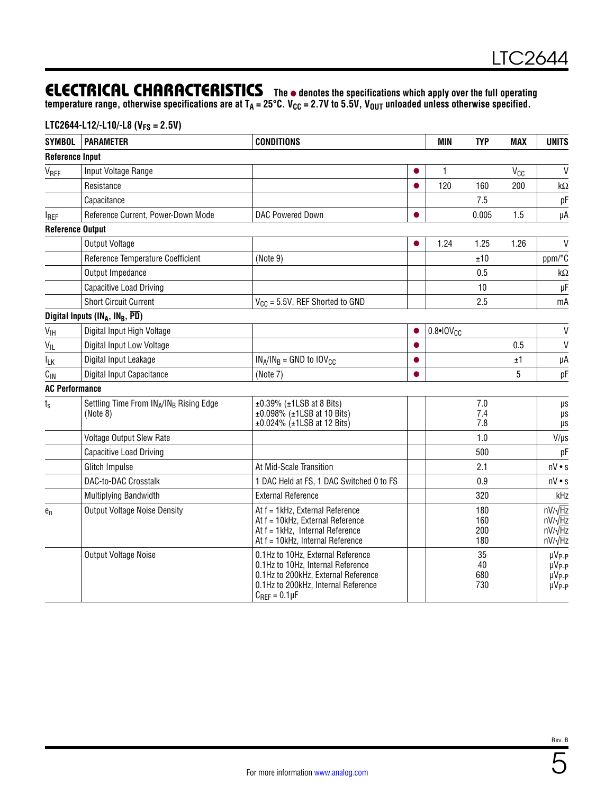### **ELECTRICAL CHARACTERISTICS** The  $\bullet$  denotes the specifications which apply over the full operating

**temperature range, otherwise specifications are at TA = 25°C. VCC = 2.7V to 5.5V, VOUT unloaded unless otherwise specified.**

### **LTC2644-L12/-L10/-L8 (VFS = 2.5V)**

| <b>SYMBOL</b>           | <b>PARAMETER</b>                                     | <b>CONDITIONS</b>                                                          | MIN                  | <b>TYP</b> | <b>MAX</b> | <b>UNITS</b>                       |
|-------------------------|------------------------------------------------------|----------------------------------------------------------------------------|----------------------|------------|------------|------------------------------------|
| <b>Reference Input</b>  |                                                      |                                                                            |                      |            |            |                                    |
| V <sub>REF</sub>        | Input Voltage Range                                  |                                                                            | 1                    |            | $V_{CC}$   | $\mathsf{V}$                       |
|                         | Resistance                                           |                                                                            | 120                  | 160        | 200        | k $\Omega$                         |
|                         | Capacitance                                          |                                                                            |                      | 7.5        |            | pF                                 |
| <b>IREF</b>             | Reference Current, Power-Down Mode                   | DAC Powered Down                                                           |                      | 0.005      | 1.5        | μA                                 |
| <b>Reference Output</b> |                                                      |                                                                            |                      |            |            |                                    |
|                         | Output Voltage                                       |                                                                            | 1.24                 | 1.25       | 1.26       | $\mathsf{V}$                       |
|                         | Reference Temperature Coefficient                    | (Note 9)                                                                   |                      | ±10        |            | ppm/°C                             |
|                         | Output Impedance                                     |                                                                            |                      | 0.5        |            | kΩ                                 |
|                         | <b>Capacitive Load Driving</b>                       |                                                                            |                      | 10         |            | μF                                 |
|                         | <b>Short Circuit Current</b>                         | $V_{CG} = 5.5V$ , REF Shorted to GND                                       |                      | 2.5        |            | mA                                 |
|                         | Digital Inputs ( $IN_A$ , $IN_B$ , $\overline{PD}$ ) |                                                                            |                      |            |            |                                    |
| V <sub>IH</sub>         | Digital Input High Voltage                           |                                                                            | $0.8 \cdot 10V_{CC}$ |            |            | $\mathsf{V}$                       |
| $V_{IL}$                | Digital Input Low Voltage                            |                                                                            |                      |            | 0.5        | V                                  |
| <b>ILK</b>              | Digital Input Leakage                                | $IN_A/IN_B = GND$ to $IOV_{CC}$                                            |                      |            | ±1         | μA                                 |
| $C_{\text{IN}}$         | Digital Input Capacitance                            | (Note 7)                                                                   |                      |            | 5          | pF                                 |
| <b>AC Performance</b>   |                                                      |                                                                            |                      |            |            |                                    |
| $t_{\rm s}$             | Settling Time From INA/INB Rising Edge               | $\pm 0.39\%$ ( $\pm 1$ LSB at 8 Bits)                                      |                      | 7.0        |            | μs                                 |
|                         | (Note 8)                                             | $±0.098\%$ ( $±1$ LSB at 10 Bits)<br>$±0.024\%$ ( $±1LSB$ at 12 Bits)      |                      | 7.4<br>7.8 |            | μs<br>$\mu\text{s}$                |
|                         | Voltage Output Slew Rate                             |                                                                            |                      | 1.0        |            | $V/\mu s$                          |
|                         | <b>Capacitive Load Driving</b>                       |                                                                            |                      | 500        |            | pF                                 |
|                         | Glitch Impulse                                       | At Mid-Scale Transition                                                    |                      | 2.1        |            | $nV \cdot s$                       |
|                         | DAC-to-DAC Crosstalk                                 | 1 DAC Held at FS, 1 DAC Switched 0 to FS                                   |                      | 0.9        |            | $nV \cdot s$                       |
|                         | Multiplying Bandwidth                                | <b>External Reference</b>                                                  |                      | 320        |            | kHz                                |
| $e_n$                   | <b>Output Voltage Noise Density</b>                  | At f = 1kHz, External Reference                                            |                      | 180        |            | $nV/\sqrt{Hz}$                     |
|                         |                                                      | At f = 10kHz, External Reference                                           |                      | 160        |            | $nV/\sqrt{Hz}$                     |
|                         |                                                      | At f = 1kHz, Internal Reference<br>At f = 10kHz, Internal Reference        |                      | 200<br>180 |            | $nV/\sqrt{Hz}$<br>$nV/\sqrt{Hz}$   |
|                         | Output Voltage Noise                                 | 0.1Hz to 10Hz, External Reference                                          |                      | 35         |            | µV <sub>P-P</sub>                  |
|                         |                                                      | 0.1Hz to 10Hz, Internal Reference                                          |                      | 40         |            | $\mu V_{P-P}$                      |
|                         |                                                      | 0.1Hz to 200kHz, External Reference<br>0.1Hz to 200kHz, Internal Reference |                      | 680<br>730 |            | $\mu V_{P-P}$<br>µV <sub>P-P</sub> |
|                         |                                                      | $C_{REF} = 0.1 \mu F$                                                      |                      |            |            |                                    |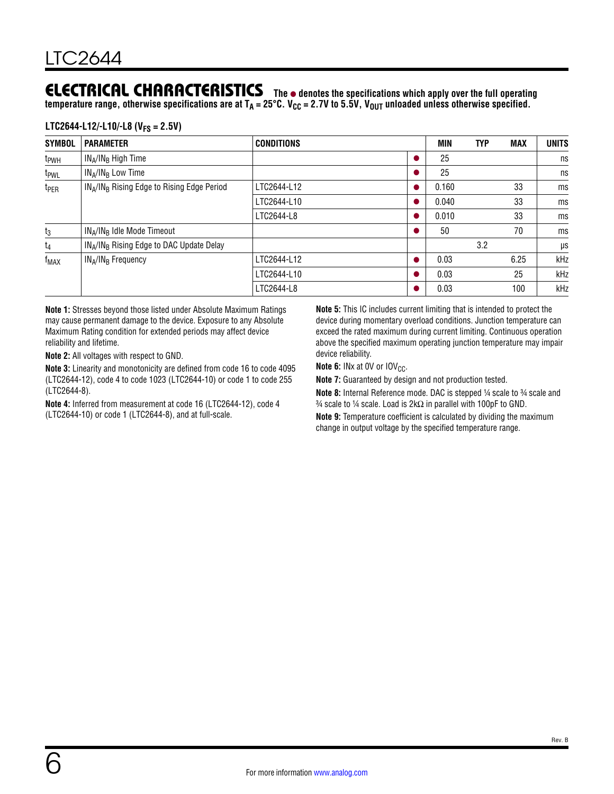### **ELECTRICAL CHARACTERISTICS** The  $\bullet$  denotes the specifications which apply over the full operating

temperature range, otherwise specifications are at T<sub>A</sub> = 25°C. V<sub>CC</sub> = 2.7V to 5.5V, V<sub>OUT</sub> unloaded unless otherwise specified.

#### **LTC2644-L12/-L10/-L8 (VFS = 2.5V)**

| <b>SYMBOL</b>    | <b>PARAMETER</b>                                                   | <b>CONDITIONS</b> | MIN   | <b>TYP</b> | <b>MAX</b> | <b>UNITS</b> |
|------------------|--------------------------------------------------------------------|-------------------|-------|------------|------------|--------------|
| t <sub>PWH</sub> | $IN_A/IN_B$ High Time                                              |                   | 25    |            |            | ns           |
| t <sub>PWL</sub> | $IN_A/IN_B$ Low Time                                               |                   | 25    |            |            | ns           |
| t <sub>PER</sub> | IN <sub>A</sub> /IN <sub>B</sub> Rising Edge to Rising Edge Period | LTC2644-L12       | 0.160 |            | 33         | ms           |
|                  |                                                                    | LTC2644-L10       | 0.040 |            | 33         | ms           |
|                  |                                                                    | LTC2644-L8        | 0.010 |            | 33         | ms           |
| $t_3$            | IN <sub>A</sub> /IN <sub>B</sub> Idle Mode Timeout                 |                   | 50    |            | 70         | ms           |
| $t_4$            | IN <sub>A</sub> /IN <sub>B</sub> Rising Edge to DAC Update Delay   |                   |       | 3.2        |            | μs           |
| f <sub>MAX</sub> | $IN_A/IN_B$ Frequency                                              | LTC2644-L12       | 0.03  |            | 6.25       | kHz          |
|                  |                                                                    | LTC2644-L10       | 0.03  |            | 25         | kHz          |
|                  |                                                                    | LTC2644-L8        | 0.03  |            | 100        | kHz          |

**Note 1:** Stresses beyond those listed under [Absolute Maximum Ratings](#page-1-0) may cause permanent damage to the device. Exposure to any Absolute Maximum Rating condition for extended periods may affect device reliability and lifetime.

**Note 2:** All voltages with respect to GND.

**Note 3:** Linearity and monotonicity are defined from code 16 to code 4095 (LTC2644-12), code 4 to code 1023 (LTC2644-10) or code 1 to code 255 (LTC2644-8).

**Note 4:** Inferred from measurement at code 16 (LTC2644-12), code 4 (LTC2644-10) or code 1 (LTC2644-8), and at full-scale.

**Note 5:** This IC includes current limiting that is intended to protect the device during momentary overload conditions. Junction temperature can exceed the rated maximum during current limiting. Continuous operation above the specified maximum operating junction temperature may impair device reliability.

**Note 6:** INx at 0V or IOV<sub>CC</sub>.

**Note 7:** Guaranteed by design and not production tested.

**Note 8:** Internal Reference mode. DAC is stepped 1/4 scale to 3/4 scale and  $\frac{3}{4}$  scale to ¼ scale. Load is 2kΩ in parallel with 100pF to GND.

**Note 9:** Temperature coefficient is calculated by dividing the maximum change in output voltage by the specified temperature range.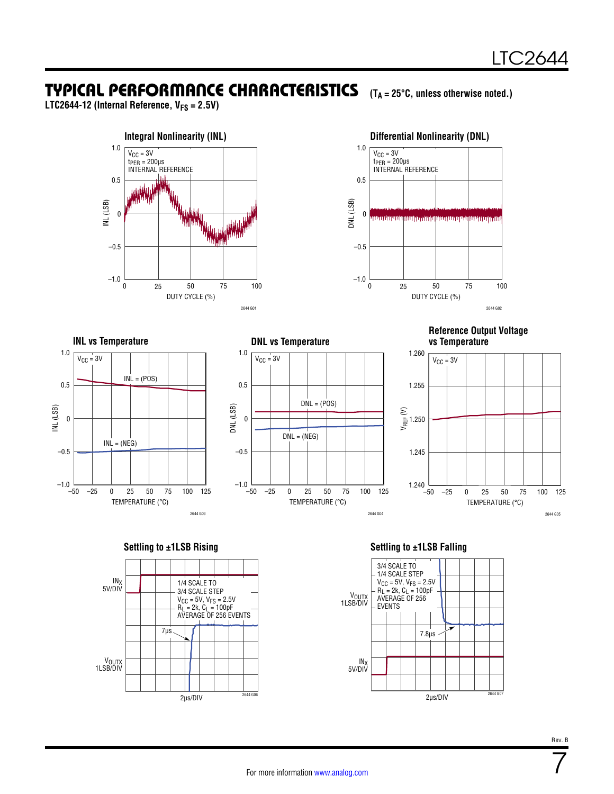<span id="page-6-0"></span>**LTC2644-12 (Internal Reference, VFS = 2.5V)**















**Settling to ±1LSB Rising Settling to ±1LSB Falling**



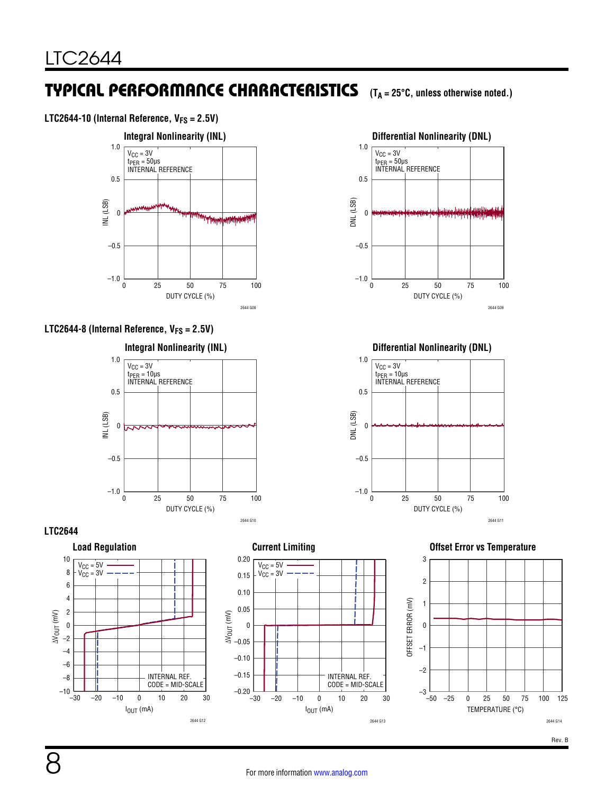#### LTC2644-10 (Internal Reference,  $V_{FS} = 2.5V$ )

















**Differential Nonlinearity (DNL)**



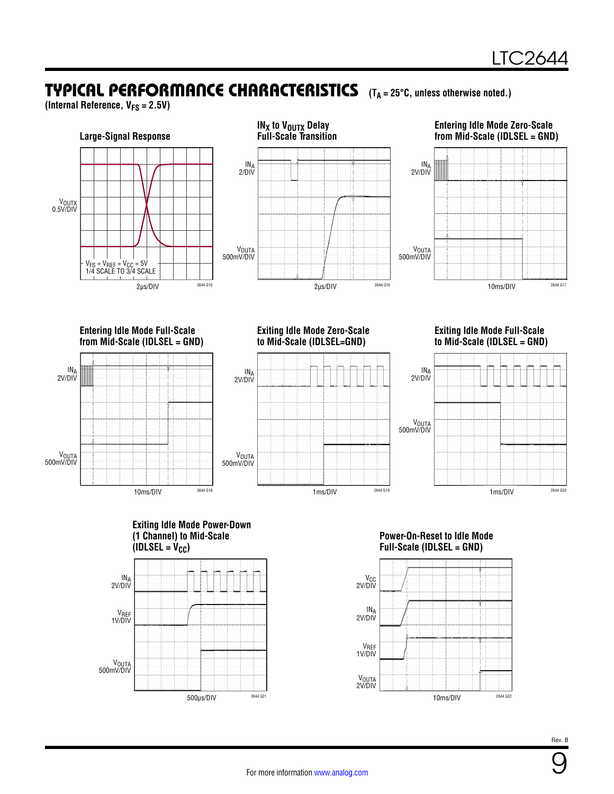**(Internal Reference, VFS = 2.5V)**









10ms/DIV 2644 G22

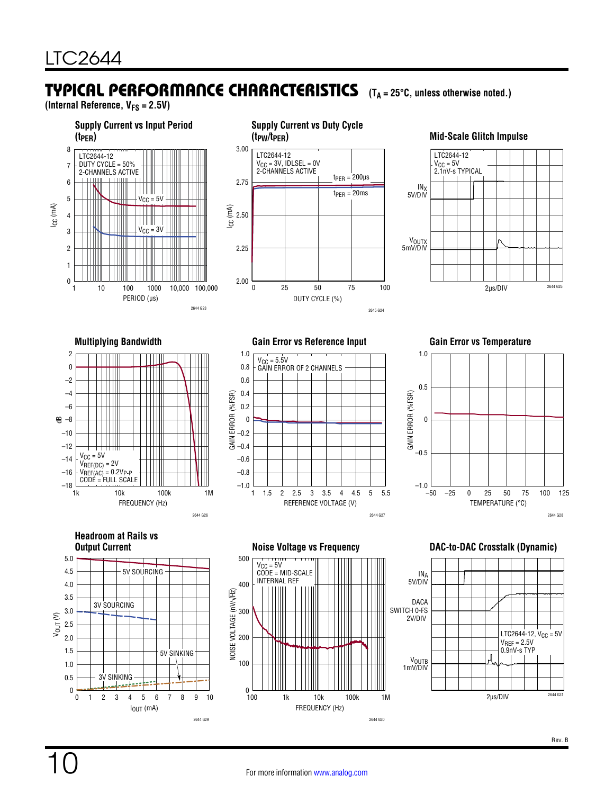**(Internal Reference, VFS = 2.5V)**

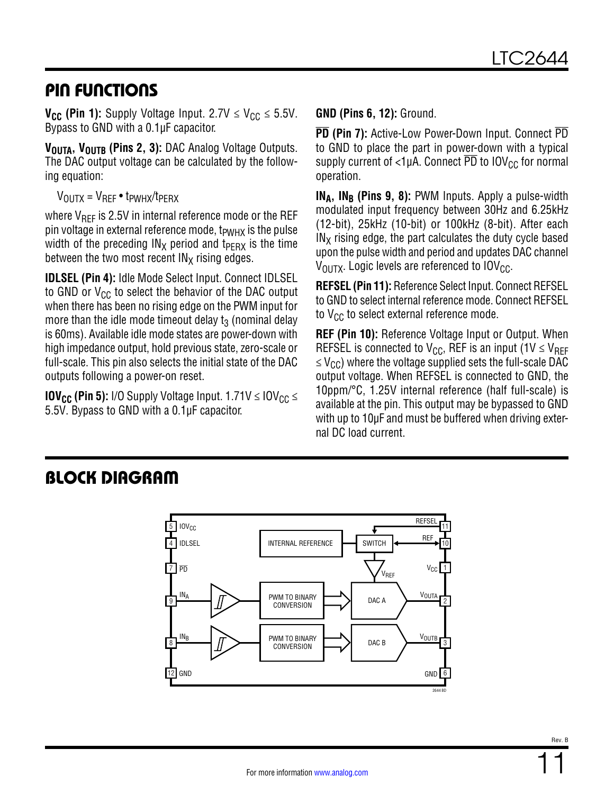### PIN FUNCTIONS

**V<sub>CC</sub>** (Pin 1): Supply Voltage Input. 2.7V  $\leq$  V<sub>CC</sub>  $\leq$  5.5V. Bypass to GND with a 0.1µF capacitor.

V<sub>OUTA</sub>, V<sub>OUTB</sub> (Pins 2, 3): DAC Analog Voltage Outputs. The DAC output voltage can be calculated by the following equation:

 $V_{\text{OUITX}} = V_{\text{RFF}} \cdot t_{\text{PWHX}}/t_{\text{PFRX}}$ 

where  $V_{REF}$  is 2.5V in internal reference mode or the REF pin voltage in external reference mode,  $t_{PWHX}$  is the pulse width of the preceding  $IN_X$  period and t<sub>PERX</sub> is the time between the two most recent  $IN<sub>X</sub>$  rising edges.

**IDLSEL (Pin 4):** Idle Mode Select Input. Connect IDLSEL to GND or  $V_{CC}$  to select the behavior of the DAC output when there has been no rising edge on the PWM input for more than the idle mode timeout delay  $t_3$  (nominal delay is 60ms). Available idle mode states are power-down with high impedance output, hold previous state, zero-scale or full-scale. This pin also selects the initial state of the DAC outputs following a power-on reset.

**IOV<sub>CC</sub>** (Pin 5): I/O Supply Voltage Input.  $1.71V \leq IOV_{CC} \leq$ 5.5V. Bypass to GND with a 0.1µF capacitor.

**GND (Pins 6, 12):** Ground.

**PD (Pin 7):** Active-Low Power-Down Input. Connect PD to GND to place the part in power-down with a typical supply current of  $<$ 1µA. Connect  $\overline{PD}$  to  $IOV_{CC}$  for normal operation.

**IN<sub>A</sub>, IN<sub>B</sub> (Pins 9, 8):** PWM Inputs. Apply a pulse-width modulated input frequency between 30Hz and 6.25kHz (12-bit), 25kHz (10-bit) or 100kHz (8-bit). After each  $IN<sub>X</sub>$  rising edge, the part calculates the duty cycle based upon the pulse width and period and updates DAC channel  $V_{\text{OUTX}}$ . Logic levels are referenced to  $IOV_{\text{CC}}$ .

**REFSEL (Pin 11):** Reference Select Input. Connect REFSEL to GND to select internal reference mode. Connect REFSEL to  $V_{CC}$  to select external reference mode.

**REF (Pin 10):** Reference Voltage Input or Output. When REFSEL is connected to  $V_{CC}$ , REF is an input (1V  $\leq$  V<sub>RFF</sub>  $\leq$  V<sub>CC</sub>) where the voltage supplied sets the full-scale DAC output voltage. When REFSEL is connected to GND, the 10ppm/°C, 1.25V internal reference (half full-scale) is available at the pin. This output may be bypassed to GND with up to 10µF and must be buffered when driving external DC load current.

### BLOCK DIAGRAM

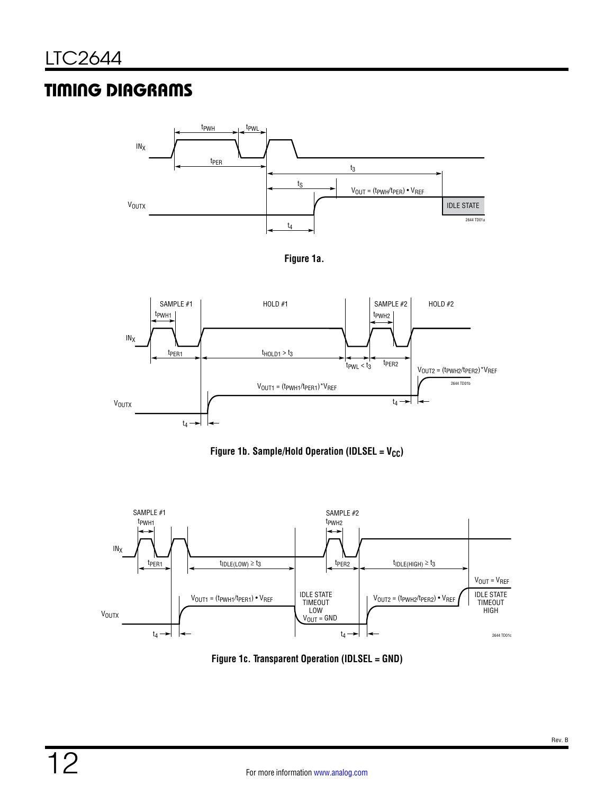### TIMING DIAGRAMS



<span id="page-11-0"></span>



<span id="page-11-2"></span>



<span id="page-11-1"></span>**Figure 1c. Transparent Operation (IDLSEL = GND)**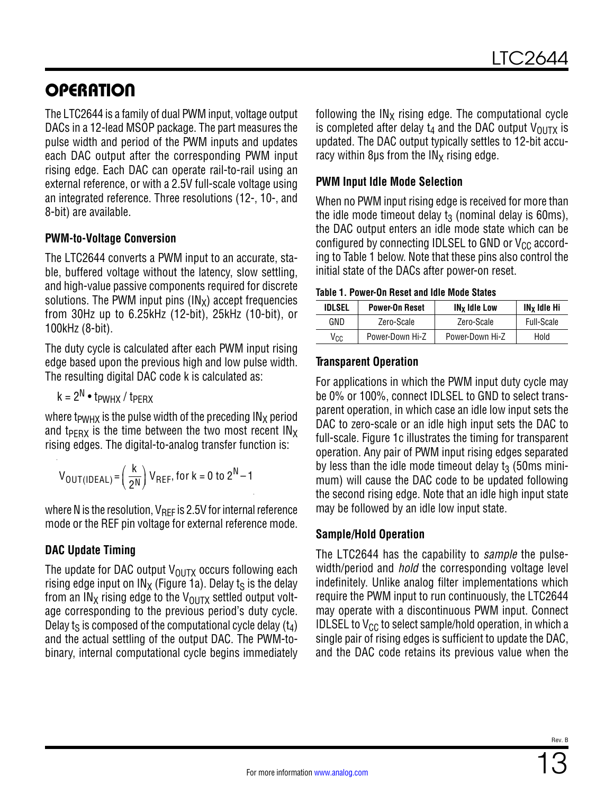The LTC2644 is a family of dual PWM input, voltage output DACs in a 12-lead MSOP package. The part measures the pulse width and period of the PWM inputs and updates each DAC output after the corresponding PWM input rising edge. Each DAC can operate rail-to-rail using an external reference, or with a 2.5V full-scale voltage using an integrated reference. Three resolutions (12-, 10-, and 8-bit) are available.

#### **PWM-to-Voltage Conversion**

The LTC2644 converts a PWM input to an accurate, stable, buffered voltage without the latency, slow settling, and high-value passive components required for discrete solutions. The PWM input pins  $(IN_x)$  accept frequencies from 30Hz up to 6.25kHz (12-bit), 25kHz (10-bit), or 100kHz (8-bit).

The duty cycle is calculated after each PWM input rising edge based upon the previous high and low pulse width. The resulting digital DAC code k is calculated as:

 $k = 2^N \cdot t_{PWHX} / t_{PFRX}$ 

where t<sub>PWHX</sub> is the pulse width of the preceding  $IN_X$  period and t<sub>PFRX</sub> is the time between the two most recent  $IN_X$ rising edges. The digital-to-analog transfer function is:

$$
V_{OUT(IDEAL)} = \left(\frac{k}{2^N}\right) V_{REF}, \text{ for } k = 0 \text{ to } 2^N - 1
$$

where N is the resolution,  $V_{\text{RFF}}$  is 2.5V for internal reference mode or the REF pin voltage for external reference mode.

### **DAC Update Timing**

The update for DAC output  $V_{\text{OUTX}}$  occurs following each rising edge input on  $IN_x$  [\(Figure 1a](#page-11-0)). Delay ts is the delay from an IN<sub>X</sub> rising edge to the V<sub>OUTX</sub> settled output voltage corresponding to the previous period's duty cycle. Delay ts is composed of the computational cycle delay  $(t_4)$ and the actual settling of the output DAC. The PWM-tobinary, internal computational cycle begins immediately following the  $IN<sub>X</sub>$  rising edge. The computational cycle is completed after delay  $t_4$  and the DAC output  $V_{OIITX}$  is updated. The DAC output typically settles to 12-bit accuracy within 8us from the  $IN_x$  rising edge.

#### **PWM Input Idle Mode Selection**

When no PWM input rising edge is received for more than the idle mode timeout delay  $t_3$  (nominal delay is 60ms), the DAC output enters an idle mode state which can be configured by connecting IDLSEL to GND or  $V_{CC}$  according to [Table 1](#page-12-0) below. Note that these pins also control the initial state of the DACs after power-on reset.

#### **Table 1. Power-On Reset and Idle Mode States**

<span id="page-12-0"></span>

| <b>IDLSEL</b> | <b>Power-On Reset</b> | <b>IN<sub>x</sub></b> Idle Low | IN <sub>x</sub> Idle Hi |
|---------------|-----------------------|--------------------------------|-------------------------|
| GND           | Zero-Scale            | Zero-Scale                     | Full-Scale              |
| Vcc           | Power-Down Hi-Z       | Power-Down Hi-Z                | Hold                    |

#### **Transparent Operation**

For applications in which the PWM input duty cycle may be 0% or 100%, connect IDLSEL to GND to select transparent operation, in which case an idle low input sets the DAC to zero-scale or an idle high input sets the DAC to full-scale. [Figure 1c](#page-11-1) illustrates the timing for transparent operation. Any pair of PWM input rising edges separated by less than the idle mode timeout delay  $t_3$  (50ms minimum) will cause the DAC code to be updated following the second rising edge. Note that an idle high input state may be followed by an idle low input state.

#### **Sample/Hold Operation**

The LTC2644 has the capability to *sample* the pulsewidth/period and *hold* the corresponding voltage level indefinitely. Unlike analog filter implementations which require the PWM input to run continuously, the LTC2644 may operate with a discontinuous PWM input. Connect IDLSEL to  $V_{CC}$  to select sample/hold operation, in which a single pair of rising edges is sufficient to update the DAC, and the DAC code retains its previous value when the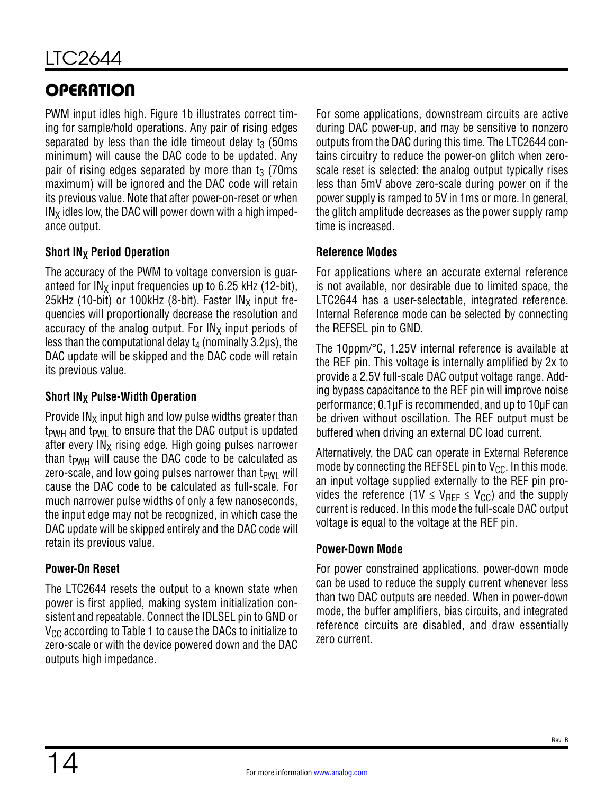PWM input idles high. [Figure 1b](#page-11-2) illustrates correct timing for sample/hold operations. Any pair of rising edges separated by less than the idle timeout delay  $t_3$  (50ms minimum) will cause the DAC code to be updated. Any pair of rising edges separated by more than  $t_3$  (70ms) maximum) will be ignored and the DAC code will retain its previous value. Note that after power-on-reset or when  $IN<sub>X</sub>$  idles low, the DAC will power down with a high impedance output.

### **Short IN<sub>X</sub> Period Operation**

The accuracy of the PWM to voltage conversion is guaranteed for  $IN_x$  input frequencies up to 6.25 kHz (12-bit), 25kHz (10-bit) or 100kHz (8-bit). Faster  $IN_x$  input frequencies will proportionally decrease the resolution and accuracy of the analog output. For  $IN_X$  input periods of less than the computational delay  $t_4$  (nominally 3.2 $\mu$ s), the DAC update will be skipped and the DAC code will retain its previous value.

#### **Short IN<sub>X</sub> Pulse-Width Operation**

Provide  $IN<sub>X</sub>$  input high and low pulse widths greater than  $t_{\text{PWH}}$  and  $t_{\text{PWI}}$  to ensure that the DAC output is updated after every  $IN<sub>X</sub>$  rising edge. High going pulses narrower than  $t_{\text{PWH}}$  will cause the DAC code to be calculated as zero-scale, and low going pulses narrower than  $t_{PWI}$  will cause the DAC code to be calculated as full-scale. For much narrower pulse widths of only a few nanoseconds, the input edge may not be recognized, in which case the DAC update will be skipped entirely and the DAC code will retain its previous value.

#### **Power-On Reset**

The LTC2644 resets the output to a known state when power is first applied, making system initialization consistent and repeatable. Connect the IDLSEL pin to GND or  $V_{\text{CC}}$  according to [Table 1](#page-12-0) to cause the DACs to initialize to zero-scale or with the device powered down and the DAC outputs high impedance.

For some applications, downstream circuits are active during DAC power-up, and may be sensitive to nonzero outputs from the DAC during this time. The LTC2644 contains circuitry to reduce the power-on glitch when zeroscale reset is selected: the analog output typically rises less than 5mV above zero-scale during power on if the power supply is ramped to 5V in 1ms or more. In general, the glitch amplitude decreases as the power supply ramp time is increased.

#### **Reference Modes**

For applications where an accurate external reference is not available, nor desirable due to limited space, the LTC2644 has a user-selectable, integrated reference. Internal Reference mode can be selected by connecting the REFSEL pin to GND.

The 10ppm/°C, 1.25V internal reference is available at the REF pin. This voltage is internally amplified by 2x to provide a 2.5V full-scale DAC output voltage range. Adding bypass capacitance to the REF pin will improve noise performance; 0.1µF is recommended, and up to 10µF can be driven without oscillation. The REF output must be buffered when driving an external DC load current.

Alternatively, the DAC can operate in External Reference mode by connecting the REFSEL pin to  $V_{CC}$ . In this mode, an input voltage supplied externally to the REF pin provides the reference (1V  $\leq$  V<sub>RFF</sub>  $\leq$  V<sub>CC</sub>) and the supply current is reduced. In this mode the full-scale DAC output voltage is equal to the voltage at the REF pin.

#### **Power-Down Mode**

For power constrained applications, power-down mode can be used to reduce the supply current whenever less than two DAC outputs are needed. When in power-down mode, the buffer amplifiers, bias circuits, and integrated reference circuits are disabled, and draw essentially zero current.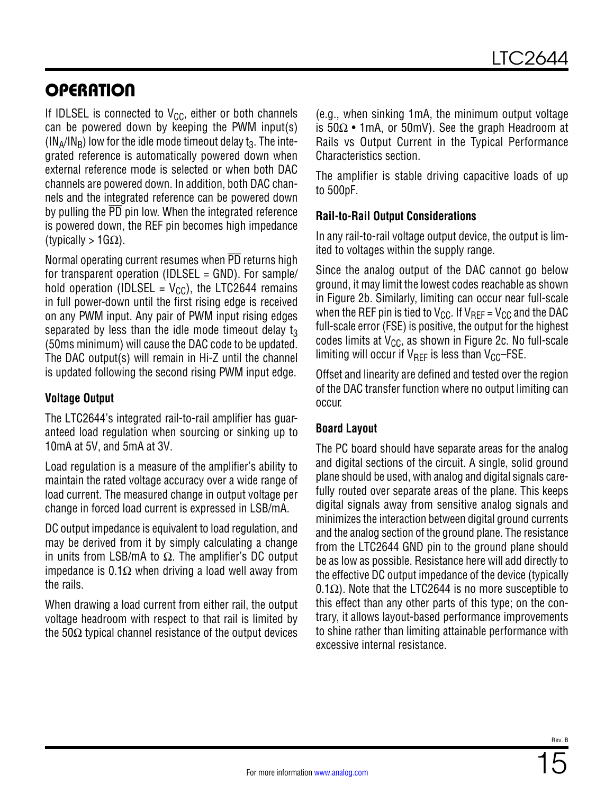If IDLSEL is connected to  $V_{CC}$ , either or both channels can be powered down by keeping the PWM input(s)  $(N_A/N_B)$  low for the idle mode timeout delay t<sub>3</sub>. The integrated reference is automatically powered down when external reference mode is selected or when both DAC channels are powered down. In addition, both DAC channels and the integrated reference can be powered down by pulling the  $\overline{PD}$  pin low. When the integrated reference is powered down, the REF pin becomes high impedance (typically >  $1G\Omega$ ).

Normal operating current resumes when PD returns high for transparent operation (IDLSEL = GND). For sample/ hold operation (IDLSEL =  $V_{CC}$ ), the LTC2644 remains in full power-down until the first rising edge is received on any PWM input. Any pair of PWM input rising edges separated by less than the idle mode timeout delay  $t_3$ (50ms minimum) will cause the DAC code to be updated. The DAC output(s) will remain in Hi-Z until the channel is updated following the second rising PWM input edge.

#### **Voltage Output**

The LTC2644's integrated rail-to-rail amplifier has guaranteed load regulation when sourcing or sinking up to 10mA at 5V, and 5mA at 3V.

Load regulation is a measure of the amplifier's ability to maintain the rated voltage accuracy over a wide range of load current. The measured change in output voltage per change in forced load current is expressed in LSB/mA.

DC output impedance is equivalent to load regulation, and may be derived from it by simply calculating a change in units from LSB/mA to  $\Omega$ . The amplifier's DC output impedance is 0.1Ω when driving a load well away from the rails.

When drawing a load current from either rail, the output voltage headroom with respect to that rail is limited by the 50 $\Omega$  typical channel resistance of the output devices

(e.g., when sinking 1mA, the minimum output voltage is 50Ω • 1mA, or 50mV). See the graph Headroom at Rails vs Output Current in the [Typical Performance](#page-6-0) [Characteristics](#page-6-0) section.

The amplifier is stable driving capacitive loads of up to 500pF.

#### **Rail-to-Rail Output Considerations**

In any rail-to-rail voltage output device, the output is limited to voltages within the supply range.

Since the analog output of the DAC cannot go below ground, it may limit the lowest codes reachable as shown in [Figure 2](#page-15-0)b. Similarly, limiting can occur near full-scale when the REF pin is tied to  $V_{CC}$ . If  $V_{RFF} = V_{CC}$  and the DAC full-scale error (FSE) is positive, the output for the highest codes limits at  $V_{CC}$ , as shown in [Figure 2c](#page-15-0). No full-scale limiting will occur if  $V_{\text{RFF}}$  is less than  $V_{\text{CC}}$ –FSE.

Offset and linearity are defined and tested over the region of the DAC transfer function where no output limiting can occur.

#### **Board Layout**

The PC board should have separate areas for the analog and digital sections of the circuit. A single, solid ground plane should be used, with analog and digital signals carefully routed over separate areas of the plane. This keeps digital signals away from sensitive analog signals and minimizes the interaction between digital ground currents and the analog section of the ground plane. The resistance from the LTC2644 GND pin to the ground plane should be as low as possible. Resistance here will add directly to the effective DC output impedance of the device (typically 0.1Ω). Note that the LTC2644 is no more susceptible to this effect than any other parts of this type; on the contrary, it allows layout-based performance improvements to shine rather than limiting attainable performance with excessive internal resistance.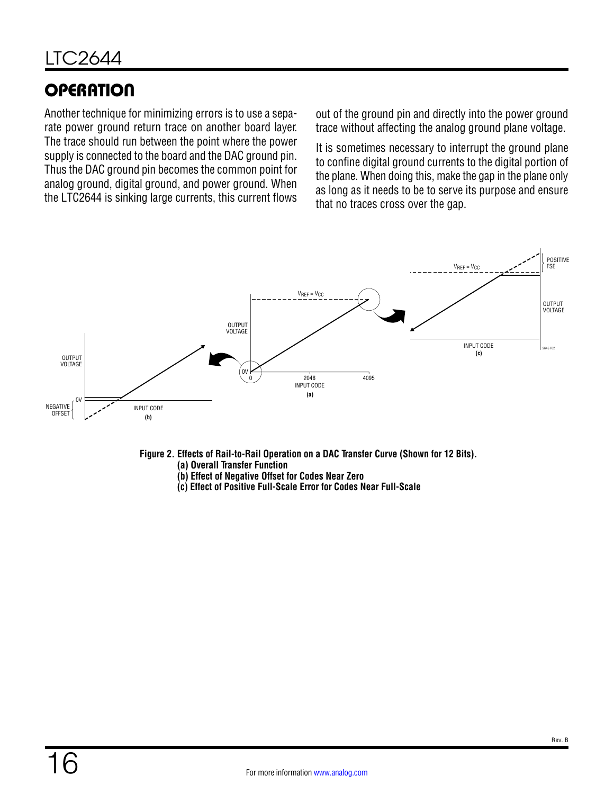Another technique for minimizing errors is to use a separate power ground return trace on another board layer. The trace should run between the point where the power supply is connected to the board and the DAC ground pin. Thus the DAC ground pin becomes the common point for analog ground, digital ground, and power ground. When the LTC2644 is sinking large currents, this current flows out of the ground pin and directly into the power ground trace without affecting the analog ground plane voltage.

It is sometimes necessary to interrupt the ground plane to confine digital ground currents to the digital portion of the plane. When doing this, make the gap in the plane only as long as it needs to be to serve its purpose and ensure that no traces cross over the gap.



**Figure 2. Effects of Rail-to-Rail Operation on a DAC Transfer Curve (Shown for 12 Bits).**

- <span id="page-15-0"></span>**(a) Overall Transfer Function**
- **(b) Effect of Negative Offset for Codes Near Zero**
- **(c) Effect of Positive Full-Scale Error for Codes Near Full-Scale**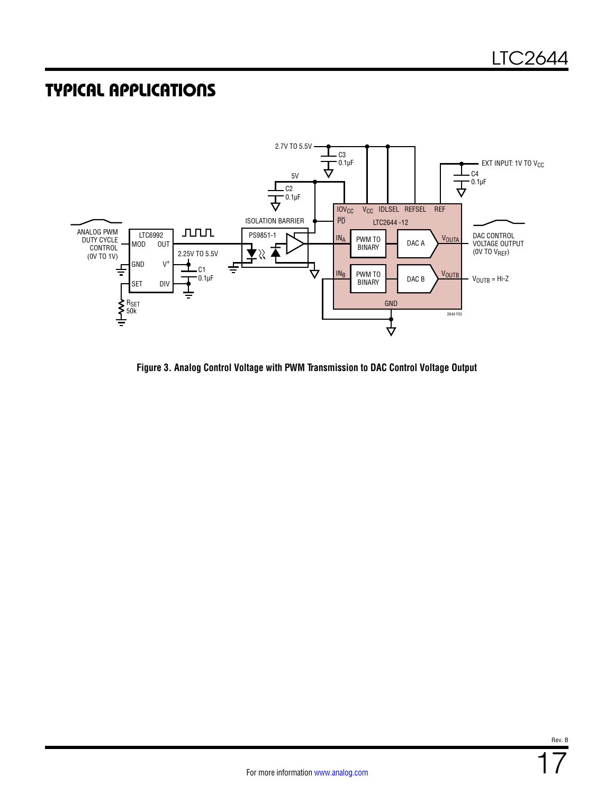### TYPICAL APPLICATIONS



**Figure 3. Analog Control Voltage with PWM Transmission to DAC Control Voltage Output**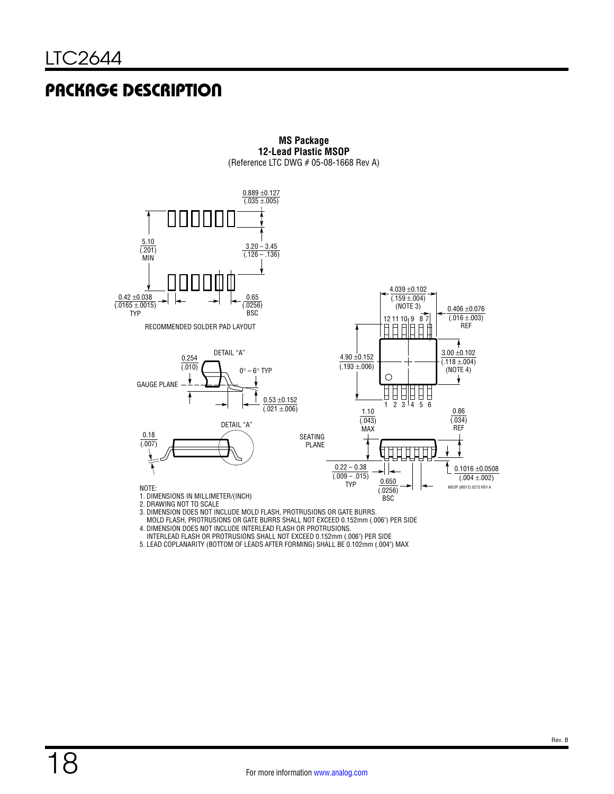### PACKAGE DESCRIPTION



**MS Package 12-Lead Plastic MSOP** (Reference LTC DWG # 05-08-1668 Rev A)

- 3. DIMENSION DOES NOT INCLUDE MOLD FLASH, PROTRUSIONS OR GATE BURRS.
- MOLD FLASH, PROTRUSIONS OR GATE BURRS SHALL NOT EXCEED 0.152mm (.006") PER SIDE
- 4. DIMENSION DOES NOT INCLUDE INTERLEAD FLASH OR PROTRUSIONS.
- INTERLEAD FLASH OR PROTRUSIONS SHALL NOT EXCEED 0.152mm (.006") PER SIDE
- 5. LEAD COPLANARITY (BOTTOM OF LEADS AFTER FORMING) SHALL BE 0.102mm (.004") MAX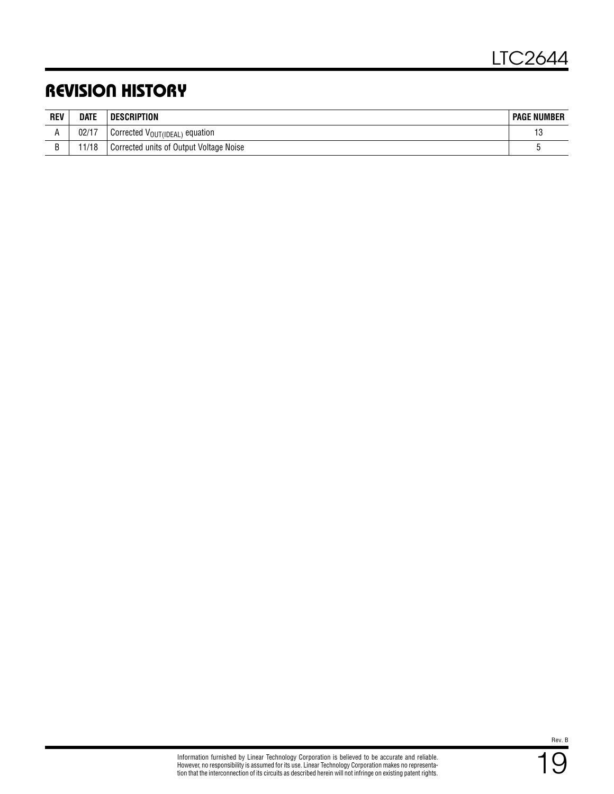### REVISION HISTORY

| <b>REV</b> | <b>DATE</b> | DESCRIPTION                                | <b>PAGE NUMBER</b> |
|------------|-------------|--------------------------------------------|--------------------|
|            | 02/17       | Corrected V <sub>OUT(IDEAL)</sub> equation | 13                 |
|            | 1/18        | Corrected units of Output Voltage Noise    |                    |